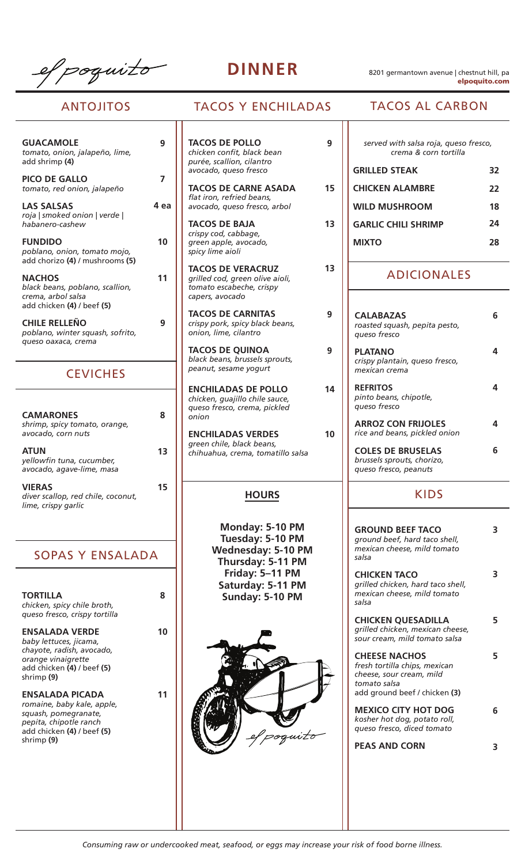efpoquito

**DINNER** 8201 germantown avenue | chestnut hill, pa elpoquito.com

# ANTOJITOS

| <b>GUACAMOLE</b><br>tomato, onion, jalapeño, lime,<br>add shrimp (4)                                 |
|------------------------------------------------------------------------------------------------------|
| <b>PICO DE GALLO</b><br>tomato, red onion, jalapeño                                                  |
| <b>LAS SALSAS</b><br>roja   smoked onion   verde  <br>habanero-cashew                                |
| <b>FUNDIDO</b><br>poblano, onion, tomato mojo,<br>add chorizo (4) / mushrooms (5)                    |
| <b>NACHOS</b><br>black beans, poblano, scallion,<br>crema, arbol salsa<br>add chicken (4) / beef (5) |
| <b>CHILE RELLENO</b><br>poblano, winter squash, sofrito,                                             |

### **CEVICHES**

*queso oaxaca, crema*

| <b>CAMARONES</b><br>shrimp, spicy tomato, orange,<br>avocado, corn nuts    |    |
|----------------------------------------------------------------------------|----|
| <b>ATUN</b><br>yellowfin tuna, cucumber,<br>avocado, agave-lime, masa      | 13 |
| <b>VIERAS</b><br>diver scallop, red chile, coconut,<br>lime, crispy garlic | 5  |

# SOPAS Y ENSALADA

| <b>TORTILLA</b><br>chicken, spicy chile broth,<br>queso fresco, crispy tortilla                                                             | я |
|---------------------------------------------------------------------------------------------------------------------------------------------|---|
| ENSALADA VERDE<br>baby lettuces, jicama,<br>chayote, radish, avocado,<br>orange vinaigrette<br>add chicken (4) / beef (5)<br>shrimp (9)     |   |
| ENSALADA PICADA<br>romaine, baby kale, apple,<br>squash, pomegranate,<br>pepita, chipotle ranch<br>add chicken (4) / beef (5)<br>shrimp (9) |   |

# TACOS Y ENCHILADAS TACOS AL CARBON

**15**

**13**

**13**

**9**

**9**

**14**

**10**

**TACOS DE POLLO 9 9** *chicken confit, black bean purée, scallion, cilantro avocado, queso fresco*

> **TACOS DE CARNE ASADA** *flat iron, refried beans, avocado, queso fresco, arbol*

**TACOS DE BAJA** *crispy cod, cabbage, green apple, avocado, spicy lime aioli*

**7**

**4 ea**

**10**

**11**

**9**

**TACOS DE VERACRUZ** *grilled cod, green olive aioli, tomato escabeche, crispy capers, avocado*

**TACOS DE CARNITAS** *crispy pork, spicy black beans, onion, lime, cilantro*

**TACOS DE QUINOA** *black beans, brussels sprouts, peanut, sesame yogurt*

**ENCHILADAS DE POLLO** *chicken, guajillo chile sauce, queso fresco, crema, pickled onion*

**ENCHILADAS VERDES** *green chile, black beans, chihuahua, crema, tomatillo salsa*

### **HOURS**

**Monday: 5-10 PM Tuesday: 5-10 PM Wednesday: 5-10 PM Thursday: 5-11 PM Friday: 5–11 PM Saturday: 5-11 PM Sunday: 5-10 PM**



| served with salsa roja, queso fresco,<br>crema & corn tortilla |    |
|----------------------------------------------------------------|----|
| <b>GRILLED STEAK</b>                                           | 32 |
| <b>CHICKEN ALAMBRE</b>                                         | 22 |
| <b>WILD MUSHROOM</b>                                           | 18 |
| <b>GARLIC CHILL SHRIMP</b>                                     | 24 |
| MIXTO                                                          | 78 |
|                                                                |    |

### ADICIONALES

| <b>CALABAZAS</b><br>roasted squash, pepita pesto,<br>queso fresco               |   |
|---------------------------------------------------------------------------------|---|
| PLATANO<br>crispy plantain, queso fresco,<br>mexican crema                      |   |
| <b>REFRITOS</b><br>pinto beans, chipotle,<br>queso fresco                       |   |
| <b>ARROZ CON FRIJOLES</b><br>rice and beans, pickled onion                      |   |
| <b>COLES DE BRUSELAS</b><br>brussels sprouts, chorizo,<br>queso fresco, peanuts | ħ |

### KIDS

| <b>GROUND BEEF TACO</b><br>ground beef, hard taco shell,<br>mexican cheese, mild tomato<br>salsa                                   | 3 |
|------------------------------------------------------------------------------------------------------------------------------------|---|
| <b>CHICKEN TACO</b><br>grilled chicken, hard taco shell,<br>mexican cheese, mild tomato<br>salsa                                   | 3 |
| <b>CHICKEN QUESADILLA</b><br>grilled chicken, mexican cheese,<br>sour cream, mild tomato salsa                                     | 5 |
| <b>CHEESE NACHOS</b><br>fresh tortilla chips, mexican<br>cheese, sour cream, mild<br>tomato salsa<br>add ground beef / chicken (3) | 5 |
| <b>MEXICO CITY HOT DOG</b><br>kosher hot dog, potato roll,<br>queso fresco, diced tomato                                           | 6 |
| <b>PEAS AND CORN</b>                                                                                                               | ₹ |